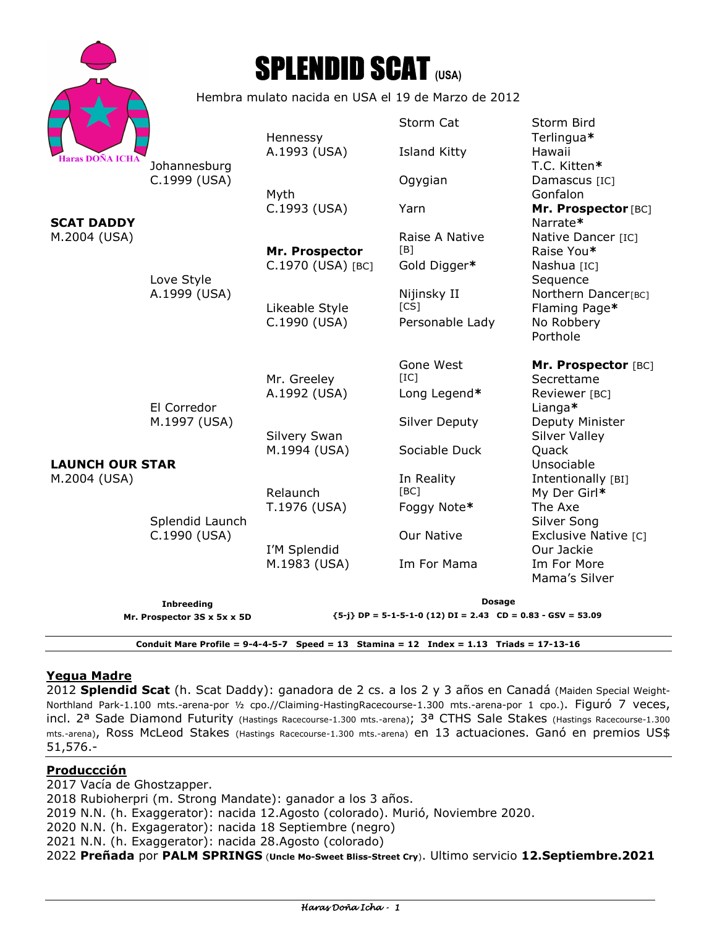|                                                                                              |                                                    | <b>SPLENDID SCAT (USA)</b> |                                   |                                         |
|----------------------------------------------------------------------------------------------|----------------------------------------------------|----------------------------|-----------------------------------|-----------------------------------------|
|                                                                                              | Hembra mulato nacida en USA el 19 de Marzo de 2012 |                            |                                   |                                         |
|                                                                                              |                                                    | Hennessy                   | Storm Cat                         | Storm Bird<br>Terlingua*                |
| <b>Haras DOÑA ICHA</b><br><b>SCAT DADDY</b><br>M.2004 (USA)                                  | Johannesburg<br>C.1999 (USA)                       | A.1993 (USA)               | <b>Island Kitty</b>               | Hawaii<br>T.C. Kitten*                  |
|                                                                                              |                                                    | Myth                       | Ogygian                           | Damascus [IC]<br>Gonfalon               |
|                                                                                              | Love Style<br>A.1999 (USA)                         | C.1993 (USA)               | Yarn                              | Mr. Prospector [BC]<br>Narrate*         |
|                                                                                              |                                                    | Mr. Prospector             | Raise A Native<br>[B]             | Native Dancer [IC]<br>Raise You*        |
|                                                                                              |                                                    | C.1970 (USA) [BC]          | Gold Digger*                      | Nashua [IC]<br>Sequence                 |
|                                                                                              |                                                    | Likeable Style             | Nijinsky II<br>$\lceil CS \rceil$ | Northern Dancer[BC]<br>Flaming Page*    |
|                                                                                              |                                                    | C.1990 (USA)               | Personable Lady                   | No Robbery<br>Porthole                  |
| <b>LAUNCH OUR STAR</b><br>M.2004 (USA)                                                       |                                                    | Mr. Greeley                | Gone West<br>[IC]                 | Mr. Prospector [BC]<br>Secrettame       |
|                                                                                              | El Corredor<br>M.1997 (USA)                        | A.1992 (USA)               | Long Legend*                      | Reviewer [BC]<br>Lianga*                |
|                                                                                              |                                                    | Silvery Swan               | <b>Silver Deputy</b>              | Deputy Minister<br><b>Silver Valley</b> |
|                                                                                              |                                                    | M.1994 (USA)               | Sociable Duck                     | Quack<br>Unsociable                     |
|                                                                                              |                                                    | Relaunch                   | In Reality<br>[BC]                | Intentionally [BI]<br>My Der Girl*      |
|                                                                                              | Splendid Launch<br>C.1990 (USA)                    | T.1976 (USA)               | Foggy Note*                       | The Axe<br>Silver Song                  |
|                                                                                              |                                                    | I'M Splendid               | <b>Our Native</b>                 | Exclusive Native [C]<br>Our Jackie      |
|                                                                                              |                                                    | M.1983 (USA)               | Im For Mama                       | Im For More<br>Mama's Silver            |
|                                                                                              | Inbreeding                                         | <b>Dosage</b>              |                                   |                                         |
| ${5-i}$ DP = 5-1-5-1-0 (12) DI = 2.43 CD = 0.83 - GSV = 53.09<br>Mr. Prospector 3S x 5x x 5D |                                                    |                            |                                   |                                         |
| Conduit Mare Profile = $9-4-4-5-7$ Speed = 13 Stamina = 12 Index = 1.13 Triads = 17-13-16    |                                                    |                            |                                   |                                         |

# **Yegua Madre**

2012 **Splendid Scat** (h. Scat Daddy): ganadora de 2 cs. a los 2 y 3 años en Canadá (Maiden Special Weight-Northland Park-1.100 mts.-arena-por ½ cpo.//Claiming-HastingRacecourse-1.300 mts.-arena-por 1 cpo.). Figuró 7 veces, incl. 2<sup>a</sup> Sade Diamond Futurity (Hastings Racecourse-1.300 mts.-arena); 3<sup>a</sup> CTHS Sale Stakes (Hastings Racecourse-1.300 mts.-arena), Ross McLeod Stakes (Hastings Racecourse-1.300 mts.-arena) en 13 actuaciones. Ganó en premios US\$ 51,576.-

### **Produccción**

2017 Vacía de Ghostzapper. 2018 Rubioherpri (m. Strong Mandate): ganador a los 3 años. 2019 N.N. (h. Exaggerator): nacida 12.Agosto (colorado). Murió, Noviembre 2020. 2020 N.N. (h. Exgagerator): nacida 18 Septiembre (negro) 2021 N.N. (h. Exaggerator): nacida 28.Agosto (colorado) 2022 **Preñada** por **PALM SPRINGS** (**Uncle Mo-Sweet Bliss-Street Cry**). Ultimo servicio **12.Septiembre.2021**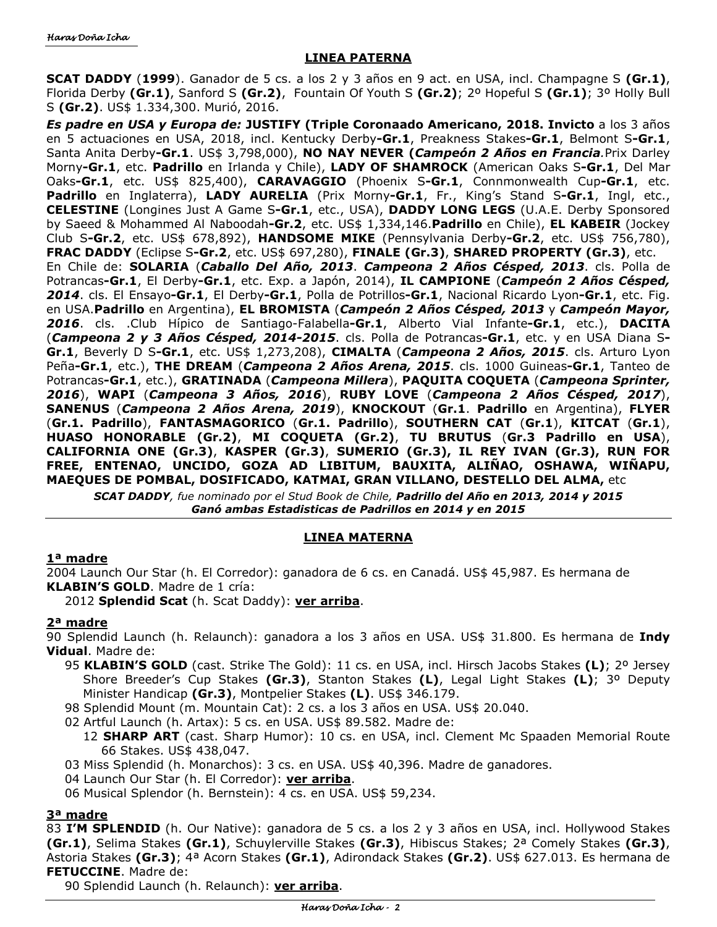### **LINEA PATERNA**

**SCAT DADDY** (**1999**). Ganador de 5 cs. a los 2 y 3 años en 9 act. en USA, incl. Champagne S **(Gr.1)**, Florida Derby **(Gr.1)**, Sanford S **(Gr.2)**,Fountain Of Youth S **(Gr.2)**; 2º Hopeful S **(Gr.1)**; 3º Holly Bull S **(Gr.2)**. US\$ 1.334,300. Murió, 2016.

*Es padre en USA y Europa de:* **JUSTIFY (Triple Coronaado Americano, 2018. Invicto** a los 3 años en 5 actuaciones en USA, 2018, incl. Kentucky Derby**-Gr.1**, Preakness Stakes**-Gr.1**, Belmont S**-Gr.1**, Santa Anita Derby**-Gr.1**. US\$ 3,798,000), **NO NAY NEVER (***Campeón 2 Años en Francia.*Prix Darley Morny**-Gr.1**, etc. **Padrillo** en Irlanda y Chile), **LADY OF SHAMROCK** (American Oaks S**-Gr.1**, Del Mar Oaks**-Gr.1**, etc. US\$ 825,400), **CARAVAGGIO** (Phoenix S**-Gr.1**, Connmonwealth Cup**-Gr.1**, etc. **Padrillo** en Inglaterra), **LADY AURELIA** (Prix Morny**-Gr.1**, Fr., King's Stand S**-Gr.1**, Ingl, etc., **CELESTINE** (Longines Just A Game S**-Gr.1**, etc., USA), **DADDY LONG LEGS** (U.A.E. Derby Sponsored by Saeed & Mohammed Al Naboodah**-Gr.2**, etc. US\$ 1,334,146.**Padrillo** en Chile), **EL KABEIR** (Jockey Club S**-Gr.2**, etc. US\$ 678,892), **HANDSOME MIKE** (Pennsylvania Derby**-Gr.2**, etc. US\$ 756,780), **FRAC DADDY** (Eclipse S**-Gr.2**, etc. US\$ 697,280), **FINALE (Gr.3)**, **SHARED PROPERTY (Gr.3)**, etc. En Chile de: **SOLARIA** (*Caballo Del Año, 2013*. *Campeona 2 Años Césped, 2013*. cls. Polla de Potrancas**-Gr.1**, El Derby**-Gr.1**, etc. Exp. a Japón, 2014), **IL CAMPIONE** (*Campeón 2 Años Césped, 2014*. cls. El Ensayo**-Gr.1**, El Derby**-Gr.1**, Polla de Potrillos**-Gr.1**, Nacional Ricardo Lyon**-Gr.1**, etc. Fig. en USA.**Padrillo** en Argentina), **EL BROMISTA** (*Campeón 2 Años Césped, 2013* y *Campeón Mayor, 2016*. cls. .Club Hípico de Santiago-Falabella**-Gr.1**, Alberto Vial Infante**-Gr.1**, etc.), **DACITA**  (*Campeona 2 y 3 Años Césped, 2014-2015*. cls. Polla de Potrancas**-Gr.1**, etc. y en USA Diana S**-Gr.1**, Beverly D S**-Gr.1**, etc. US\$ 1,273,208), **CIMALTA** (*Campeona 2 Años, 2015*. cls. Arturo Lyon Peña**-Gr.1**, etc.), **THE DREAM** (*Campeona 2 Años Arena, 2015*. cls. 1000 Guineas**-Gr.1**, Tanteo de Potrancas**-Gr.1**, etc.), **GRATINADA** (*Campeona Millera*), **PAQUITA COQUETA** (*Campeona Sprinter, 2016*), **WAPI** (*Campeona 3 Años, 2016*), **RUBY LOVE** (*Campeona 2 Años Césped, 2017*), **SANENUS** (*Campeona 2 Años Arena, 2019*), **KNOCKOUT** (**Gr.1**. **Padrillo** en Argentina), **FLYER**  (**Gr.1. Padrillo**), **FANTASMAGORICO** (**Gr.1. Padrillo**), **SOUTHERN CAT** (**Gr.1**), **KITCAT** (**Gr.1**), **HUASO HONORABLE (Gr.2)**, **MI COQUETA (Gr.2)**, **TU BRUTUS** (**Gr.3 Padrillo en USA**), **CALIFORNIA ONE (Gr.3)**, **KASPER (Gr.3)**, **SUMERIO (Gr.3), IL REY IVAN (Gr.3), RUN FOR FREE, ENTENAO, UNCIDO, GOZA AD LIBITUM, BAUXITA, ALIÑAO, OSHAWA, WIÑAPU, MAEQUES DE POMBAL, DOSIFICADO, KATMAI, GRAN VILLANO, DESTELLO DEL ALMA,** etc

*SCAT DADDY, fue nominado por el Stud Book de Chile, Padrillo del Año en 2013, 2014 y 2015 Ganó ambas Estadisticas de Padrillos en 2014 y en 2015* 

# **LINEA MATERNA**

#### **1ª madre**

2004 Launch Our Star (h. El Corredor): ganadora de 6 cs. en Canadá. US\$ 45,987. Es hermana de **KLABIN'S GOLD**. Madre de 1 cría:

2012 **Splendid Scat** (h. Scat Daddy): **ver arriba**.

# **2ª madre**

90 Splendid Launch (h. Relaunch): ganadora a los 3 años en USA. US\$ 31.800. Es hermana de **Indy Vidual**. Madre de:

- 95 **KLABIN'S GOLD** (cast. Strike The Gold): 11 cs. en USA, incl. Hirsch Jacobs Stakes **(L)**; 2º Jersey Shore Breeder's Cup Stakes **(Gr.3)**, Stanton Stakes **(L)**, Legal Light Stakes **(L)**; 3º Deputy Minister Handicap **(Gr.3)**, Montpelier Stakes **(L)**. US\$ 346.179.
- 98 Splendid Mount (m. Mountain Cat): 2 cs. a los 3 años en USA. US\$ 20.040.
- 02 Artful Launch (h. Artax): 5 cs. en USA. US\$ 89.582. Madre de:
	- 12 **SHARP ART** (cast. Sharp Humor): 10 cs. en USA, incl. Clement Mc Spaaden Memorial Route 66 Stakes. US\$ 438,047.
- 03 Miss Splendid (h. Monarchos): 3 cs. en USA. US\$ 40,396. Madre de ganadores.
- 04 Launch Our Star (h. El Corredor): **ver arriba**.
- 06 Musical Splendor (h. Bernstein): 4 cs. en USA. US\$ 59,234.

# **3ª madre**

83 **I'M SPLENDID** (h. Our Native): ganadora de 5 cs. a los 2 y 3 años en USA, incl. Hollywood Stakes **(Gr.1)**, Selima Stakes **(Gr.1)**, Schuylerville Stakes **(Gr.3)**, Hibiscus Stakes; 2ª Comely Stakes **(Gr.3)**, Astoria Stakes **(Gr.3)**; 4ª Acorn Stakes **(Gr.1)**, Adirondack Stakes **(Gr.2)**. US\$ 627.013. Es hermana de **FETUCCINE**. Madre de:

90 Splendid Launch (h. Relaunch): **ver arriba**.